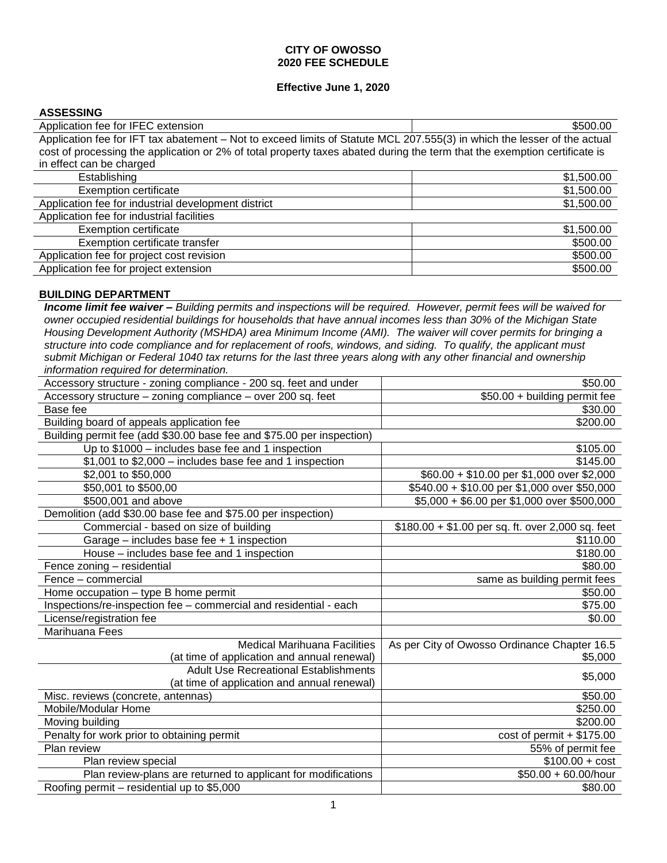### **CITY OF OWOSSO 2020 FEE SCHEDULE**

### **Effective June 1, 2020**

#### **ASSESSING**

| Application fee for IFEC extension                                                                                        | \$500.00   |
|---------------------------------------------------------------------------------------------------------------------------|------------|
| Application fee for IFT tax abatement - Not to exceed limits of Statute MCL 207.555(3) in which the lesser of the actual  |            |
| cost of processing the application or 2% of total property taxes abated during the term that the exemption certificate is |            |
| in effect can be charged                                                                                                  |            |
| Establishing                                                                                                              | \$1,500.00 |
| <b>Exemption certificate</b>                                                                                              | \$1,500.00 |
| Application fee for industrial development district                                                                       | \$1,500.00 |
| Application fee for industrial facilities                                                                                 |            |
| <b>Exemption certificate</b>                                                                                              | \$1,500.00 |
| Exemption certificate transfer                                                                                            | \$500.00   |
| Application fee for project cost revision                                                                                 | \$500.00   |
| Application fee for project extension                                                                                     | \$500.00   |

### **BUILDING DEPARTMENT**

*Income limit fee waiver – Building permits and inspections will be required. However, permit fees will be waived for owner occupied residential buildings for households that have annual incomes less than 30% of the Michigan State Housing Development Authority (MSHDA) area Minimum Income (AMI). The waiver will cover permits for bringing a structure into code compliance and for replacement of roofs, windows, and siding. To qualify, the applicant must submit Michigan or Federal 1040 tax returns for the last three years along with any other financial and ownership information required for determination.*

| Accessory structure - zoning compliance - 200 sq. feet and under      | \$50.00                                           |
|-----------------------------------------------------------------------|---------------------------------------------------|
| Accessory structure – zoning compliance – over 200 sq. feet           | \$50.00 + building permit fee                     |
| Base fee                                                              | \$30.00                                           |
| Building board of appeals application fee                             | \$200.00                                          |
| Building permit fee (add \$30.00 base fee and \$75.00 per inspection) |                                                   |
| Up to \$1000 - includes base fee and 1 inspection                     | \$105.00                                          |
| \$1,001 to \$2,000 - includes base fee and 1 inspection               | \$145.00                                          |
| \$2,001 to \$50,000                                                   | \$60.00 + \$10.00 per \$1,000 over \$2,000        |
| \$50,001 to \$500,00                                                  | \$540.00 + \$10.00 per \$1,000 over \$50,000      |
| \$500,001 and above                                                   | \$5,000 + \$6.00 per \$1,000 over \$500,000       |
| Demolition (add \$30.00 base fee and \$75.00 per inspection)          |                                                   |
| Commercial - based on size of building                                | $$180.00 + $1.00$ per sq. ft. over 2,000 sq. feet |
| Garage – includes base fee $+1$ inspection                            | \$110.00                                          |
| House – includes base fee and 1 inspection                            | \$180.00                                          |
| Fence zoning - residential                                            | \$80.00                                           |
| Fence - commercial                                                    | same as building permit fees                      |
| Home occupation - type B home permit                                  | \$50.00                                           |
| Inspections/re-inspection fee - commercial and residential - each     | \$75.00                                           |
| License/registration fee                                              | \$0.00                                            |
| Marihuana Fees                                                        |                                                   |
| <b>Medical Marihuana Facilities</b>                                   | As per City of Owosso Ordinance Chapter 16.5      |
| (at time of application and annual renewal)                           | \$5,000                                           |
| <b>Adult Use Recreational Establishments</b>                          | \$5,000                                           |
| (at time of application and annual renewal)                           |                                                   |
| Misc. reviews (concrete, antennas)                                    | \$50.00                                           |
| Mobile/Modular Home                                                   | \$250.00                                          |
| Moving building                                                       | \$200.00                                          |
| Penalty for work prior to obtaining permit                            | $cost of permit + $175.00$                        |
| Plan review                                                           | 55% of permit fee                                 |
| Plan review special                                                   | $$100.00 + cost$                                  |
| Plan review-plans are returned to applicant for modifications         | $$50.00 + 60.00/h$ our                            |
| Roofing permit – residential up to \$5,000                            | \$80.00                                           |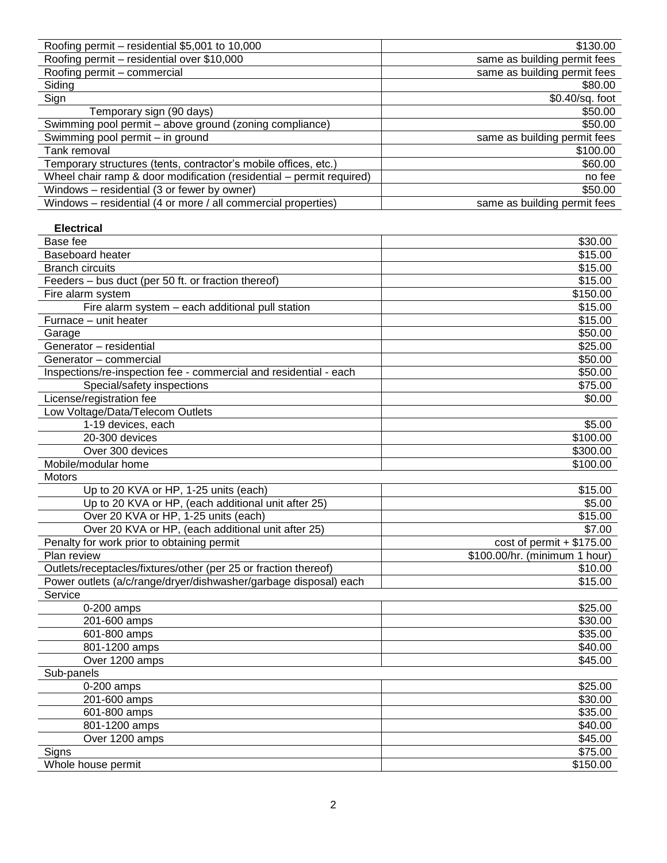| Roofing permit - residential \$5,001 to 10,000                       | \$130.00                      |
|----------------------------------------------------------------------|-------------------------------|
| Roofing permit - residential over \$10,000                           | same as building permit fees  |
| Roofing permit - commercial                                          | same as building permit fees  |
| Siding                                                               | \$80.00                       |
| Sign                                                                 | \$0.40/sq. foot               |
| Temporary sign (90 days)                                             | \$50.00                       |
| Swimming pool permit - above ground (zoning compliance)              | \$50.00                       |
| Swimming pool permit - in ground                                     | same as building permit fees  |
| Tank removal                                                         | \$100.00                      |
| Temporary structures (tents, contractor's mobile offices, etc.)      | \$60.00                       |
| Wheel chair ramp & door modification (residential – permit required) | no fee                        |
| Windows - residential (3 or fewer by owner)                          | \$50.00                       |
| Windows - residential (4 or more / all commercial properties)        | same as building permit fees  |
|                                                                      |                               |
| <b>Electrical</b>                                                    |                               |
| Base fee                                                             | \$30.00                       |
| <b>Baseboard heater</b>                                              | \$15.00                       |
| <b>Branch circuits</b>                                               | \$15.00                       |
| Feeders - bus duct (per 50 ft. or fraction thereof)                  | \$15.00                       |
| Fire alarm system                                                    | \$150.00                      |
| Fire alarm system - each additional pull station                     | \$15.00                       |
| Furnace - unit heater                                                | \$15.00                       |
| Garage                                                               | \$50.00                       |
| Generator - residential                                              | \$25.00                       |
| Generator - commercial                                               | \$50.00                       |
| Inspections/re-inspection fee - commercial and residential - each    | \$50.00                       |
| Special/safety inspections                                           | \$75.00                       |
| License/registration fee                                             | \$0.00                        |
| Low Voltage/Data/Telecom Outlets                                     |                               |
| 1-19 devices, each                                                   | \$5.00                        |
| 20-300 devices                                                       | \$100.00                      |
| Over 300 devices                                                     | \$300.00                      |
| Mobile/modular home                                                  | \$100.00                      |
| Motors                                                               |                               |
| Up to 20 KVA or HP, 1-25 units (each)                                | \$15.00                       |
| Up to 20 KVA or HP, (each additional unit after 25)                  | \$5.00                        |
| Over 20 KVA or HP, 1-25 units (each)                                 | \$15.00                       |
| Over 20 KVA or HP, (each additional unit after 25)                   | \$7.00                        |
| Penalty for work prior to obtaining permit                           | $cost of permit + $175.00$    |
| Plan review                                                          | \$100.00/hr. (minimum 1 hour) |
| Outlets/receptacles/fixtures/other (per 25 or fraction thereof)      | \$10.00                       |
| Power outlets (a/c/range/dryer/dishwasher/garbage disposal) each     | \$15.00                       |
| Service                                                              |                               |
| 0-200 amps                                                           | \$25.00                       |
| 201-600 amps                                                         | \$30.00                       |
|                                                                      |                               |
| 601-800 amps                                                         | \$35.00                       |
| 801-1200 amps                                                        | \$40.00                       |
| Over 1200 amps                                                       | \$45.00                       |
| Sub-panels                                                           |                               |
| 0-200 amps                                                           | \$25.00                       |
| 201-600 amps                                                         | \$30.00                       |
| 601-800 amps                                                         | \$35.00                       |
| 801-1200 amps                                                        | \$40.00                       |
| Over 1200 amps                                                       | \$45.00                       |
| Signs                                                                | \$75.00                       |
| Whole house permit                                                   | \$150.00                      |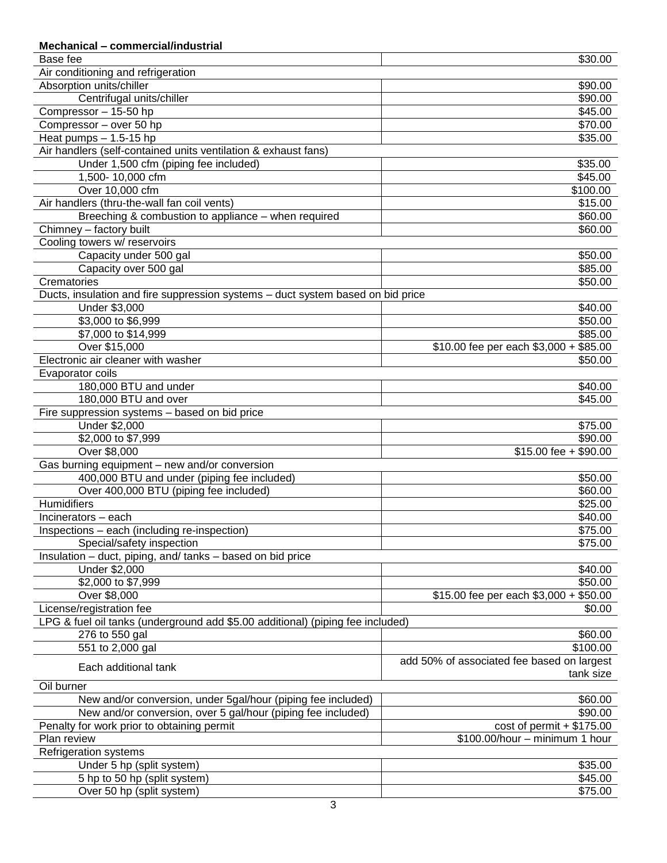| Mechanical - commercial/industrial                                              |                                                         |
|---------------------------------------------------------------------------------|---------------------------------------------------------|
| Base fee                                                                        | \$30.00                                                 |
| Air conditioning and refrigeration                                              |                                                         |
| Absorption units/chiller                                                        | \$90.00                                                 |
| Centrifugal units/chiller                                                       | \$90.00                                                 |
| Compressor - 15-50 hp                                                           | \$45.00                                                 |
| Compressor - over 50 hp                                                         | \$70.00                                                 |
| Heat pumps $- 1.5 - 15$ hp                                                      | \$35.00                                                 |
| Air handlers (self-contained units ventilation & exhaust fans)                  |                                                         |
| Under 1,500 cfm (piping fee included)                                           | \$35.00                                                 |
| 1,500-10,000 cfm                                                                | \$45.00                                                 |
| Over 10,000 cfm                                                                 | \$100.00                                                |
| Air handlers (thru-the-wall fan coil vents)                                     | \$15.00                                                 |
| Breeching & combustion to appliance - when required                             | \$60.00                                                 |
| Chimney - factory built                                                         | \$60.00                                                 |
| Cooling towers w/ reservoirs                                                    |                                                         |
| Capacity under 500 gal                                                          | \$50.00                                                 |
| Capacity over 500 gal                                                           | \$85.00                                                 |
| Crematories                                                                     | \$50.00                                                 |
| Ducts, insulation and fire suppression systems - duct system based on bid price |                                                         |
| Under \$3,000                                                                   |                                                         |
|                                                                                 | \$40.00                                                 |
| \$3,000 to \$6,999                                                              | \$50.00                                                 |
| \$7,000 to \$14,999                                                             | \$85.00                                                 |
| Over \$15,000                                                                   | \$10.00 fee per each \$3,000 + \$85.00                  |
| Electronic air cleaner with washer                                              | \$50.00                                                 |
| Evaporator coils                                                                |                                                         |
| 180,000 BTU and under                                                           | \$40.00                                                 |
| 180,000 BTU and over                                                            | \$45.00                                                 |
| Fire suppression systems - based on bid price                                   |                                                         |
| Under \$2,000                                                                   | \$75.00                                                 |
| \$2,000 to \$7,999                                                              | \$90.00                                                 |
| Over \$8,000                                                                    | \$15.00 fee + \$90.00                                   |
| Gas burning equipment - new and/or conversion                                   |                                                         |
| 400,000 BTU and under (piping fee included)                                     | \$50.00                                                 |
| Over 400,000 BTU (piping fee included)                                          | \$60.00                                                 |
| Humidifiers                                                                     | \$25.00                                                 |
| Incinerators - each                                                             | \$40.00                                                 |
| Inspections - each (including re-inspection)                                    | \$75.00                                                 |
| Special/safety inspection                                                       | \$75.00                                                 |
| Insulation - duct, piping, and/tanks - based on bid price                       |                                                         |
| Under \$2,000                                                                   | \$40.00                                                 |
| \$2,000 to \$7,999                                                              | \$50.00                                                 |
| Over \$8,000                                                                    | \$15.00 fee per each \$3,000 + \$50.00                  |
| License/registration fee                                                        | \$0.00                                                  |
| LPG & fuel oil tanks (underground add \$5.00 additional) (piping fee included)  |                                                         |
| 276 to 550 gal                                                                  | \$60.00                                                 |
| 551 to 2,000 gal                                                                | \$100.00                                                |
|                                                                                 |                                                         |
| Each additional tank                                                            | add 50% of associated fee based on largest<br>tank size |
| Oil burner                                                                      |                                                         |
| New and/or conversion, under 5gal/hour (piping fee included)                    | \$60.00                                                 |
| New and/or conversion, over 5 gal/hour (piping fee included)                    | \$90.00                                                 |
| Penalty for work prior to obtaining permit                                      | $cost of permit + $175.00$                              |
| Plan review                                                                     | \$100.00/hour - minimum 1 hour                          |
| <b>Refrigeration systems</b>                                                    |                                                         |
| Under 5 hp (split system)                                                       | \$35.00                                                 |
| 5 hp to 50 hp (split system)                                                    | \$45.00                                                 |
| Over 50 hp (split system)                                                       | \$75.00                                                 |
|                                                                                 |                                                         |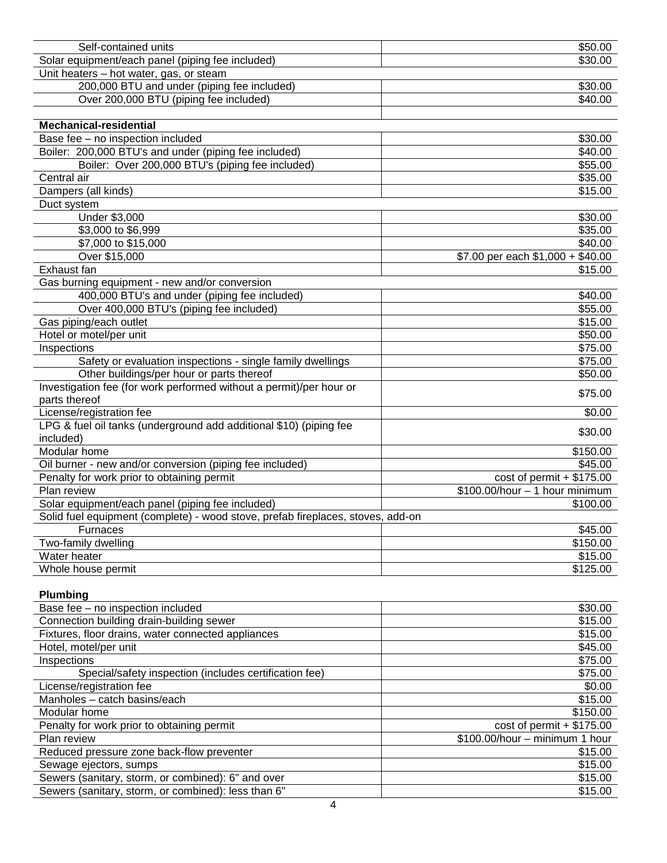| Self-contained units                                                            | \$50.00                           |
|---------------------------------------------------------------------------------|-----------------------------------|
| Solar equipment/each panel (piping fee included)                                | \$30.00                           |
| Unit heaters - hot water, gas, or steam                                         |                                   |
| 200,000 BTU and under (piping fee included)                                     | \$30.00                           |
| Over 200,000 BTU (piping fee included)                                          | \$40.00                           |
|                                                                                 |                                   |
| <b>Mechanical-residential</b>                                                   |                                   |
| Base fee - no inspection included                                               | \$30.00                           |
| Boiler: 200,000 BTU's and under (piping fee included)                           | \$40.00                           |
| Boiler: Over 200,000 BTU's (piping fee included)                                | \$55.00                           |
| Central air                                                                     | \$35.00                           |
| Dampers (all kinds)                                                             | \$15.00                           |
| Duct system                                                                     |                                   |
| Under \$3,000                                                                   | \$30.00                           |
| \$3,000 to \$6,999                                                              | \$35.00                           |
| \$7,000 to \$15,000                                                             | \$40.00                           |
| Over \$15,000                                                                   | \$7.00 per each \$1,000 + \$40.00 |
| Exhaust fan                                                                     | \$15.00                           |
| Gas burning equipment - new and/or conversion                                   |                                   |
| 400,000 BTU's and under (piping fee included)                                   | \$40.00                           |
| Over 400,000 BTU's (piping fee included)                                        | \$55.00                           |
| Gas piping/each outlet                                                          | \$15.00                           |
| Hotel or motel/per unit                                                         | \$50.00                           |
| Inspections                                                                     | \$75.00                           |
| Safety or evaluation inspections - single family dwellings                      | \$75.00                           |
| Other buildings/per hour or parts thereof                                       | \$50.00                           |
| Investigation fee (for work performed without a permit)/per hour or             |                                   |
| parts thereof                                                                   | \$75.00                           |
| License/registration fee                                                        | \$0.00                            |
| LPG & fuel oil tanks (underground add additional \$10) (piping fee              |                                   |
| included)                                                                       | \$30.00                           |
| Modular home                                                                    | \$150.00                          |
| Oil burner - new and/or conversion (piping fee included)                        | \$45.00                           |
| Penalty for work prior to obtaining permit                                      | $cost of permit + $175.00$        |
| Plan review                                                                     | $$100.00/hour - 1 hour minimum$   |
| Solar equipment/each panel (piping fee included)                                | \$100.00                          |
| Solid fuel equipment (complete) - wood stove, prefab fireplaces, stoves, add-on |                                   |
| <b>Furnaces</b>                                                                 | \$45.00                           |
| Two-family dwelling                                                             | \$150.00                          |
| Water heater                                                                    | \$15.00                           |
| Whole house permit                                                              | \$125.00                          |
|                                                                                 |                                   |
| Plumbing                                                                        |                                   |
| Base fee - no inspection included                                               | \$30.00                           |
| Connection building drain-building sewer                                        | \$15.00                           |
| Fixtures, floor drains, water connected appliances                              | \$15.00                           |
| Hotel, motel/per unit                                                           | \$45.00                           |
| Inspections                                                                     | \$75.00                           |
| Special/safety inspection (includes certification fee)                          | \$75.00                           |
| License/registration fee                                                        | \$0.00                            |
| Manholes - catch basins/each                                                    | \$15.00                           |
| Modular home                                                                    | \$150.00                          |
| Penalty for work prior to obtaining permit                                      | $cost of permit + $175.00$        |
| Plan review                                                                     | \$100.00/hour - minimum 1 hour    |
| Reduced pressure zone back-flow preventer                                       | \$15.00                           |
| Sewage ejectors, sumps                                                          | \$15.00                           |

Sewers (sanitary, storm, or combined): 6" and over \$15.00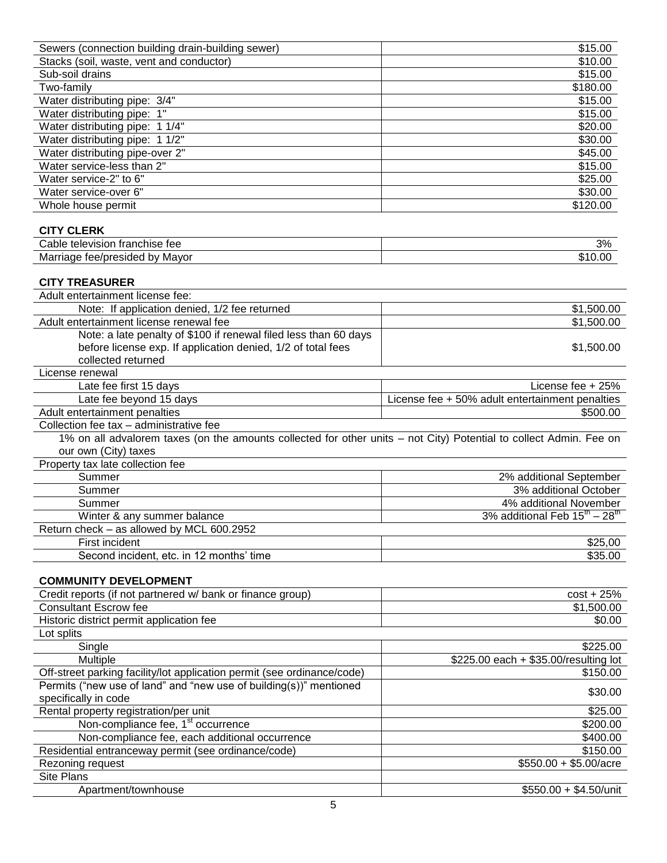| Sewers (connection building drain-building sewer)                                                                  | $\overline{$}15.00$                                 |
|--------------------------------------------------------------------------------------------------------------------|-----------------------------------------------------|
| Stacks (soil, waste, vent and conductor)                                                                           | \$10.00                                             |
| Sub-soil drains                                                                                                    | \$15.00                                             |
| Two-family                                                                                                         | $\overline{$}180.00$                                |
| Water distributing pipe: 3/4"                                                                                      | \$15.00                                             |
| Water distributing pipe: 1"                                                                                        | \$15.00                                             |
| Water distributing pipe: 1 1/4"                                                                                    | \$20.00                                             |
| Water distributing pipe: 1 1/2"                                                                                    | \$30.00                                             |
| Water distributing pipe-over 2"                                                                                    | \$45.00                                             |
| Water service-less than 2"                                                                                         | \$15.00                                             |
| Water service-2" to 6"                                                                                             | \$25.00                                             |
| Water service-over 6"                                                                                              | \$30.00                                             |
| Whole house permit                                                                                                 | \$120.00                                            |
|                                                                                                                    |                                                     |
| <b>CITY CLERK</b>                                                                                                  |                                                     |
| Cable television franchise fee                                                                                     | 3%                                                  |
| Marriage fee/presided by Mayor                                                                                     | \$10.00                                             |
|                                                                                                                    |                                                     |
| <b>CITY TREASURER</b>                                                                                              |                                                     |
| Adult entertainment license fee:                                                                                   |                                                     |
| Note: If application denied, 1/2 fee returned                                                                      | \$1,500.00                                          |
| Adult entertainment license renewal fee                                                                            | \$1,500.00                                          |
| Note: a late penalty of \$100 if renewal filed less than 60 days                                                   |                                                     |
| before license exp. If application denied, 1/2 of total fees                                                       | \$1,500.00                                          |
| collected returned                                                                                                 |                                                     |
| License renewal                                                                                                    |                                                     |
| Late fee first 15 days                                                                                             | License fee $+25%$                                  |
| Late fee beyond 15 days                                                                                            | License fee + 50% adult entertainment penalties     |
| Adult entertainment penalties                                                                                      | \$500.00                                            |
| Collection fee tax - administrative fee                                                                            |                                                     |
| 1% on all advalorem taxes (on the amounts collected for other units - not City) Potential to collect Admin. Fee on |                                                     |
| our own (City) taxes                                                                                               |                                                     |
| Property tax late collection fee                                                                                   |                                                     |
| Summer                                                                                                             | 2% additional September                             |
| Summer                                                                                                             | 3% additional October                               |
| Summer                                                                                                             | 4% additional November                              |
| Winter & any summer balance                                                                                        | 3% additional Feb $15^{\text{th}} - 28^{\text{th}}$ |
|                                                                                                                    |                                                     |
| Return check – as allowed by MCL 600.2952                                                                          |                                                     |
| First incident                                                                                                     | \$25,00                                             |
| Second incident, etc. in 12 months' time                                                                           | \$35.00                                             |
|                                                                                                                    |                                                     |
| <b>COMMUNITY DEVELOPMENT</b>                                                                                       |                                                     |
| Credit reports (if not partnered w/ bank or finance group)                                                         | $cost + 25%$                                        |
| <b>Consultant Escrow fee</b>                                                                                       | \$1,500.00                                          |
| Historic district permit application fee                                                                           | \$0.00                                              |
| Lot splits                                                                                                         |                                                     |
| Single                                                                                                             | \$225.00                                            |
| Multiple                                                                                                           | \$225.00 each + \$35.00/resulting lot               |
| Off-street parking facility/lot application permit (see ordinance/code)                                            | \$150.00                                            |
| Permits ("new use of land" and "new use of building(s))" mentioned                                                 |                                                     |
| specifically in code                                                                                               | \$30.00                                             |
| Rental property registration/per unit                                                                              | \$25.00                                             |
| Non-compliance fee, 1 <sup>st</sup> occurrence                                                                     | \$200.00                                            |
| Non-compliance fee, each additional occurrence                                                                     | \$400.00                                            |
| Residential entranceway permit (see ordinance/code)<br>Rezoning request                                            | \$150.00<br>$$550.00 + $5.00/acre$                  |

Rezoning request<br>Site Plans

Apartment/townhouse \$550.00 + \$4.50/unit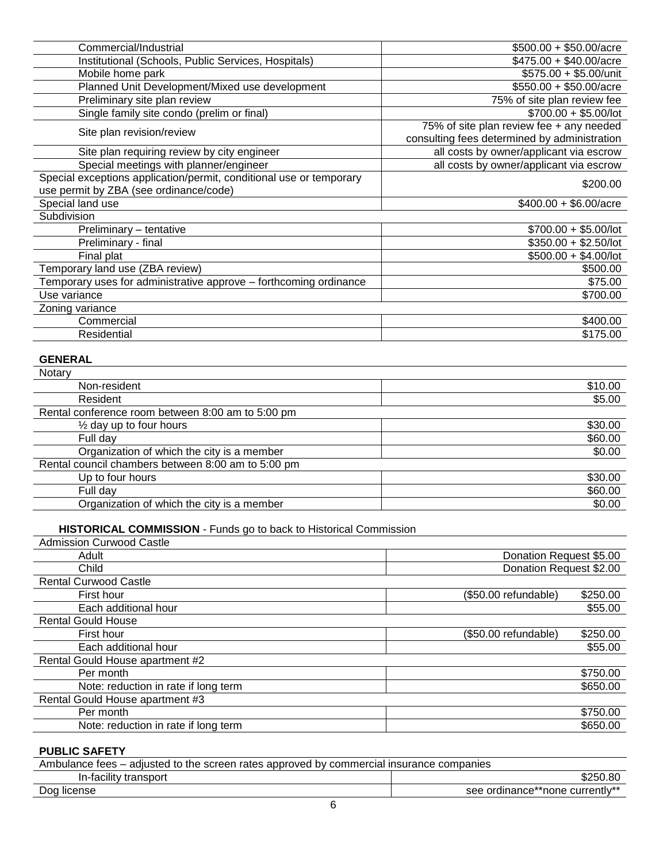| Commercial/Industrial                                                                                         | $$500.00 + $50.00/$ acre                                                                 |
|---------------------------------------------------------------------------------------------------------------|------------------------------------------------------------------------------------------|
| Institutional (Schools, Public Services, Hospitals)                                                           | $$475.00 + $40.00/$ acre                                                                 |
| Mobile home park                                                                                              | $$575.00 + $5.00/$ unit                                                                  |
| Planned Unit Development/Mixed use development                                                                | $$550.00 + $50.00/$ acre                                                                 |
| Preliminary site plan review                                                                                  | 75% of site plan review fee                                                              |
| Single family site condo (prelim or final)                                                                    | $$700.00 + $5.00/$ lot                                                                   |
| Site plan revision/review                                                                                     | 75% of site plan review fee + any needed<br>consulting fees determined by administration |
| Site plan requiring review by city engineer                                                                   | all costs by owner/applicant via escrow                                                  |
| Special meetings with planner/engineer                                                                        | all costs by owner/applicant via escrow                                                  |
| Special exceptions application/permit, conditional use or temporary<br>use permit by ZBA (see ordinance/code) | \$200.00                                                                                 |
| Special land use                                                                                              | $$400.00 + $6.00/acre$                                                                   |
| Subdivision                                                                                                   |                                                                                          |
| Preliminary - tentative                                                                                       | $$700.00 + $5.00/$ lot                                                                   |
| Preliminary - final                                                                                           | $$350.00 + $2.50/$ lot                                                                   |
| Final plat                                                                                                    | $$500.00 + $4.00/$ lot                                                                   |
| Temporary land use (ZBA review)                                                                               | \$500.00                                                                                 |
| Temporary uses for administrative approve – forthcoming ordinance                                             | \$75.00                                                                                  |
| Use variance                                                                                                  | \$700.00                                                                                 |
| Zoning variance                                                                                               |                                                                                          |
| Commercial                                                                                                    | \$400.00                                                                                 |
| Residential                                                                                                   | \$175.00                                                                                 |

### **GENERAL**

| Notary                                             |         |
|----------------------------------------------------|---------|
| Non-resident                                       | \$10.00 |
| Resident                                           | \$5.00  |
| Rental conference room between 8:00 am to 5:00 pm  |         |
| $\frac{1}{2}$ day up to four hours                 | \$30.00 |
| Full day                                           | \$60.00 |
| Organization of which the city is a member         | \$0.00  |
| Rental council chambers between 8:00 am to 5:00 pm |         |
| Up to four hours                                   | \$30.00 |
| Full dav                                           | \$60.00 |
| Organization of which the city is a member         | \$0.00  |

# **HISTORICAL COMMISSION** - Funds go to back to Historical Commission

| <b>Admission Curwood Castle</b>      |                                   |
|--------------------------------------|-----------------------------------|
| Adult                                | Donation Request \$5.00           |
| Child                                | Donation Request \$2.00           |
| <b>Rental Curwood Castle</b>         |                                   |
| First hour                           | \$250.00<br>$(S50.00$ refundable) |
| Each additional hour                 | \$55.00                           |
| <b>Rental Gould House</b>            |                                   |
| First hour                           | \$250.00<br>(\$50.00 refundable)  |
| Each additional hour                 | \$55.00                           |
| Rental Gould House apartment #2      |                                   |
| Per month                            | \$750.00                          |
| Note: reduction in rate if long term | \$650.00                          |
| Rental Gould House apartment #3      |                                   |
| Per month                            | \$750.00                          |
| Note: reduction in rate if long term | \$650.00                          |

# **PUBLIC SAFETY**

| Ambulance fees – adjusted to the screen rates approved by commercial insurance companies |                                 |
|------------------------------------------------------------------------------------------|---------------------------------|
| In-facility transport                                                                    | \$250.80                        |
| Dog license                                                                              | see ordinance**none currently** |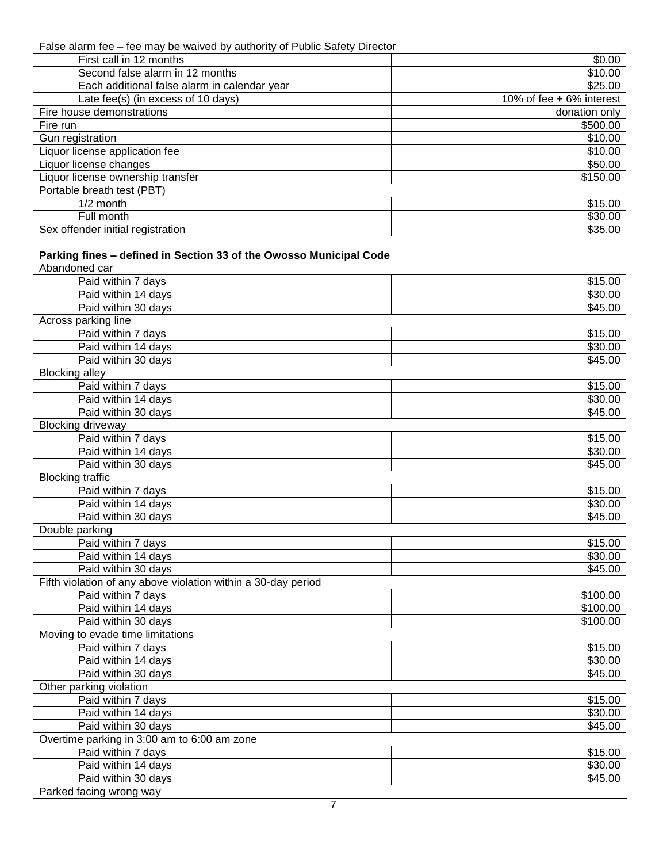| False alarm fee - fee may be waived by authority of Public Safety Director |                          |
|----------------------------------------------------------------------------|--------------------------|
| First call in 12 months                                                    | \$0.00                   |
| Second false alarm in 12 months                                            | \$10.00                  |
| Each additional false alarm in calendar year                               | \$25.00                  |
| Late fee(s) (in excess of 10 days)                                         | 10% of fee + 6% interest |
| Fire house demonstrations                                                  | donation only            |
| Fire run                                                                   | \$500.00                 |
| Gun registration                                                           | \$10.00                  |
| Liquor license application fee                                             | \$10.00                  |
| Liquor license changes                                                     | \$50.00                  |
| Liquor license ownership transfer                                          | \$150.00                 |
| Portable breath test (PBT)                                                 |                          |
| $1/2$ month                                                                | \$15.00                  |
| Full month                                                                 | \$30.00                  |
| Sex offender initial registration                                          | \$35.00                  |

# **Parking fines – defined in Section 33 of the Owosso Municipal Code**

| Abandoned car                                                 |          |
|---------------------------------------------------------------|----------|
| Paid within 7 days                                            | \$15.00  |
| Paid within 14 days                                           | \$30.00  |
| Paid within 30 days                                           | \$45.00  |
| Across parking line                                           |          |
| Paid within 7 days                                            | \$15.00  |
| Paid within 14 days                                           | \$30.00  |
| Paid within 30 days                                           | \$45.00  |
| <b>Blocking alley</b>                                         |          |
| Paid within 7 days                                            | \$15.00  |
| Paid within 14 days                                           | \$30.00  |
| Paid within 30 days                                           | \$45.00  |
| <b>Blocking driveway</b>                                      |          |
| Paid within 7 days                                            | \$15.00  |
| Paid within 14 days                                           | \$30.00  |
| Paid within 30 days                                           | \$45.00  |
| <b>Blocking traffic</b>                                       |          |
| Paid within 7 days                                            | \$15.00  |
| Paid within 14 days                                           | \$30.00  |
| Paid within 30 days                                           | \$45.00  |
| Double parking                                                |          |
| Paid within 7 days                                            | \$15.00  |
| Paid within 14 days                                           | \$30.00  |
| Paid within 30 days                                           | \$45.00  |
| Fifth violation of any above violation within a 30-day period |          |
| Paid within 7 days                                            | \$100.00 |
| Paid within 14 days                                           | \$100.00 |
| Paid within 30 days                                           | \$100.00 |
| Moving to evade time limitations                              |          |
| Paid within 7 days                                            | \$15.00  |
| Paid within 14 days                                           | \$30.00  |
| Paid within 30 days                                           | \$45.00  |
| Other parking violation                                       |          |
| Paid within 7 days                                            | \$15.00  |
| Paid within 14 days                                           | \$30.00  |
| Paid within 30 days                                           | \$45.00  |
| Overtime parking in 3:00 am to 6:00 am zone                   |          |
| Paid within 7 days                                            | \$15.00  |
| Paid within 14 days                                           | \$30.00  |
| Paid within 30 days                                           | \$45.00  |
| Parked facing wrong way                                       |          |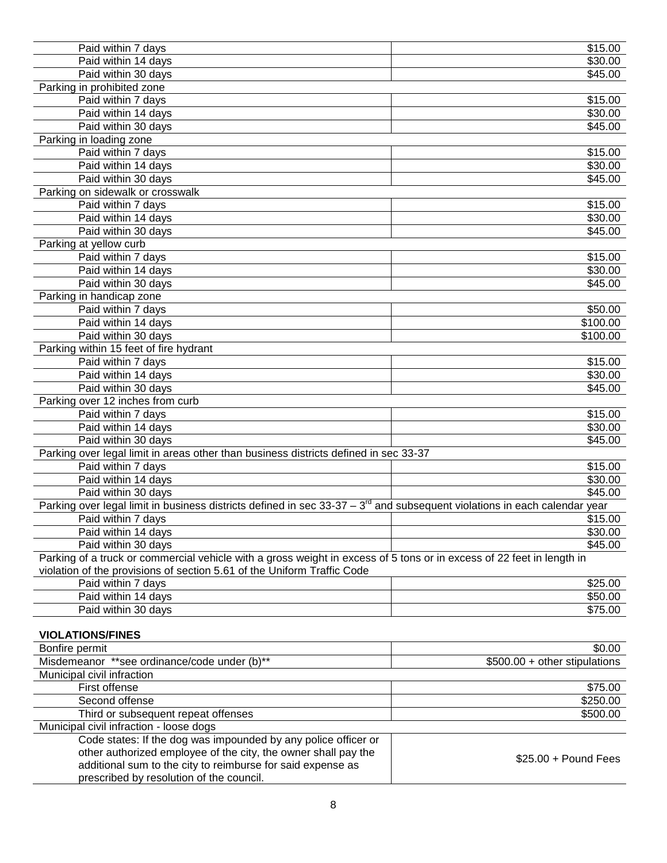| Paid within 7 days                                                                                                           | \$15.00                       |
|------------------------------------------------------------------------------------------------------------------------------|-------------------------------|
| Paid within 14 days                                                                                                          | \$30.00                       |
| Paid within 30 days                                                                                                          | \$45.00                       |
| Parking in prohibited zone                                                                                                   |                               |
| Paid within 7 days                                                                                                           | \$15.00                       |
| Paid within 14 days                                                                                                          | \$30.00                       |
| Paid within 30 days                                                                                                          | \$45.00                       |
| Parking in loading zone                                                                                                      |                               |
| Paid within 7 days                                                                                                           | \$15.00                       |
| Paid within 14 days                                                                                                          | \$30.00                       |
| Paid within 30 days                                                                                                          | \$45.00                       |
| Parking on sidewalk or crosswalk                                                                                             |                               |
| Paid within 7 days                                                                                                           | \$15.00                       |
|                                                                                                                              | \$30.00                       |
| Paid within 14 days                                                                                                          |                               |
| Paid within 30 days                                                                                                          | \$45.00                       |
| Parking at yellow curb                                                                                                       |                               |
| Paid within 7 days                                                                                                           | \$15.00                       |
| Paid within 14 days                                                                                                          | \$30.00                       |
| Paid within 30 days                                                                                                          | \$45.00                       |
| Parking in handicap zone                                                                                                     |                               |
| Paid within 7 days                                                                                                           | \$50.00                       |
| Paid within 14 days                                                                                                          | \$100.00                      |
| Paid within 30 days                                                                                                          | \$100.00                      |
| Parking within 15 feet of fire hydrant                                                                                       |                               |
| Paid within 7 days                                                                                                           | \$15.00                       |
| Paid within 14 days                                                                                                          | \$30.00                       |
| Paid within 30 days                                                                                                          | \$45.00                       |
| Parking over 12 inches from curb                                                                                             |                               |
| Paid within 7 days                                                                                                           | \$15.00                       |
| Paid within 14 days                                                                                                          | \$30.00                       |
| Paid within 30 days                                                                                                          | \$45.00                       |
| Parking over legal limit in areas other than business districts defined in sec 33-37                                         |                               |
| Paid within 7 days                                                                                                           | \$15.00                       |
| Paid within 14 days                                                                                                          | \$30.00                       |
| Paid within 30 days                                                                                                          | \$45.00                       |
| Parking over legal limit in business districts defined in sec $33-37-3^{10}$ and subsequent violations in each calendar year |                               |
| Paid within 7 days                                                                                                           | \$15.00                       |
| Paid within 14 days                                                                                                          | \$30.00                       |
| Paid within 30 days                                                                                                          | \$45.00                       |
| Parking of a truck or commercial vehicle with a gross weight in excess of 5 tons or in excess of 22 feet in length in        |                               |
| violation of the provisions of section 5.61 of the Uniform Traffic Code                                                      |                               |
| Paid within 7 days                                                                                                           | \$25.00                       |
| Paid within 14 days                                                                                                          | \$50.00                       |
| Paid within 30 days                                                                                                          | \$75.00                       |
|                                                                                                                              |                               |
| <b>VIOLATIONS/FINES</b>                                                                                                      |                               |
| Bonfire permit                                                                                                               | \$0.00                        |
| Misdemeanor **see ordinance/code under (b)**                                                                                 | \$500.00 + other stipulations |
| Municipal civil infraction                                                                                                   |                               |
| First offense                                                                                                                | \$75.00                       |
| Second offense                                                                                                               | \$250.00                      |
|                                                                                                                              | \$500.00                      |
| Third or subsequent repeat offenses                                                                                          |                               |
| Municipal civil infraction - loose dogs<br>Code states: If the dog was impounded by any police officer or                    |                               |
| other authorized employee of the city, the owner shall pay the                                                               |                               |
| additional sum to the city to reimburse for said expense as                                                                  | $$25.00 +$ Pound Fees         |
|                                                                                                                              |                               |

8

prescribed by resolution of the council.